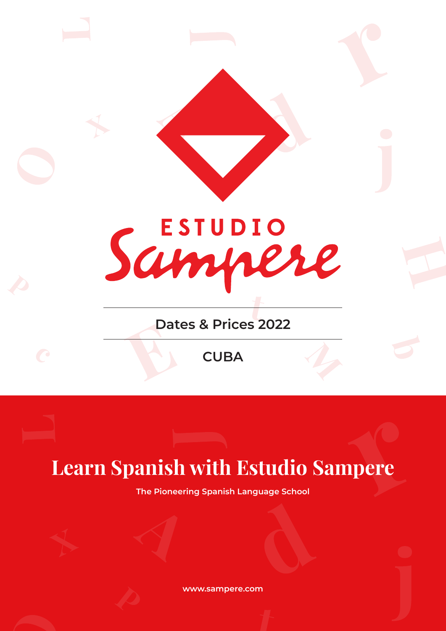

## **Learn Spanish with Estudio Sampere**

**The Pioneering Spanish Language School**

**www.sampere.com**